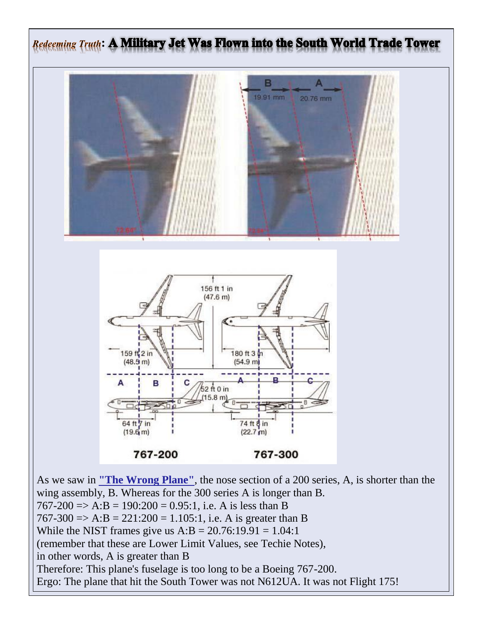

As we saw in **["The Wrong Plane"](http://www.amics21.com/911/flight175/second.html)**, the nose section of a 200 series, A, is shorter than the wing assembly, B. Whereas for the 300 series A is longer than B.  $767-200 \Rightarrow A:B = 190:200 = 0.95:1$ , i.e. A is less than B  $767-300 \Rightarrow A:B = 221:200 = 1.105:1$ , i.e. A is greater than B While the NIST frames give us  $A:B = 20.76:19.91 = 1.04:1$ (remember that these are Lower Limit Values, see Techie Notes), in other words, A is greater than B Therefore: This plane's fuselage is too long to be a Boeing 767-200. Ergo: The plane that hit the South Tower was not N612UA. It was not Flight 175!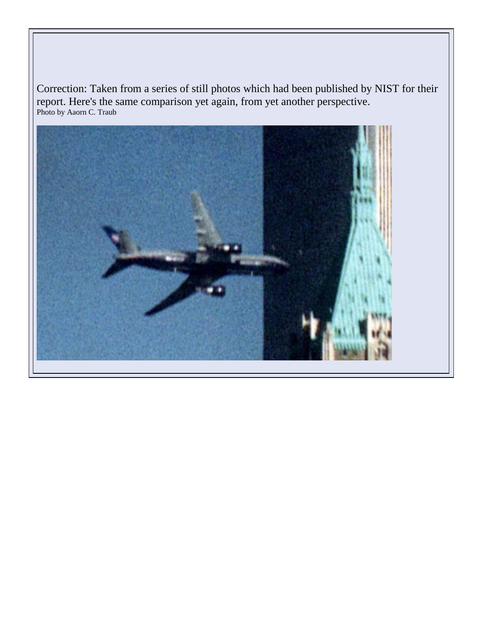Correction: Taken from a series of still photos which had been published by NIST for their report. Here's the same comparison yet again, from yet another perspective. Photo by Aaorn C. Traub

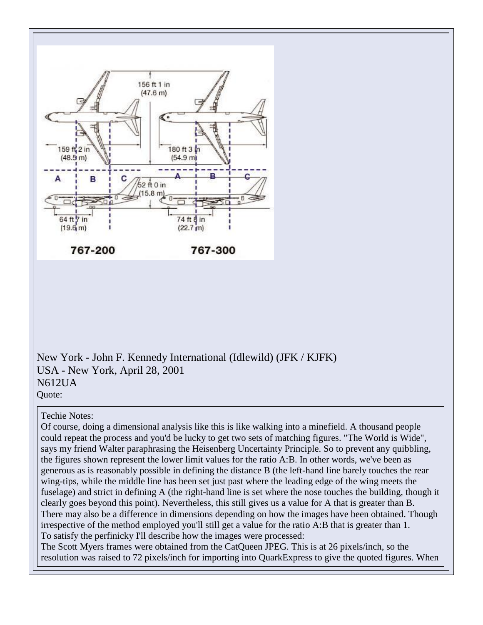

New York - John F. Kennedy International (Idlewild) (JFK / KJFK) USA - New York, April 28, 2001 N612UA Quote:

## Techie Notes:

Of course, doing a dimensional analysis like this is like walking into a minefield. A thousand people could repeat the process and you'd be lucky to get two sets of matching figures. "The World is Wide", says my friend Walter paraphrasing the Heisenberg Uncertainty Principle. So to prevent any quibbling, the figures shown represent the lower limit values for the ratio A:B. In other words, we've been as generous as is reasonably possible in defining the distance B (the left-hand line barely touches the rear wing-tips, while the middle line has been set just past where the leading edge of the wing meets the fuselage) and strict in defining A (the right-hand line is set where the nose touches the building, though it clearly goes beyond this point). Nevertheless, this still gives us a value for A that is greater than B. There may also be a difference in dimensions depending on how the images have been obtained. Though irrespective of the method employed you'll still get a value for the ratio A:B that is greater than 1. To satisfy the perfinicky I'll describe how the images were processed:

The Scott Myers frames were obtained from the CatQueen JPEG. This is at 26 pixels/inch, so the resolution was raised to 72 pixels/inch for importing into QuarkExpress to give the quoted figures. When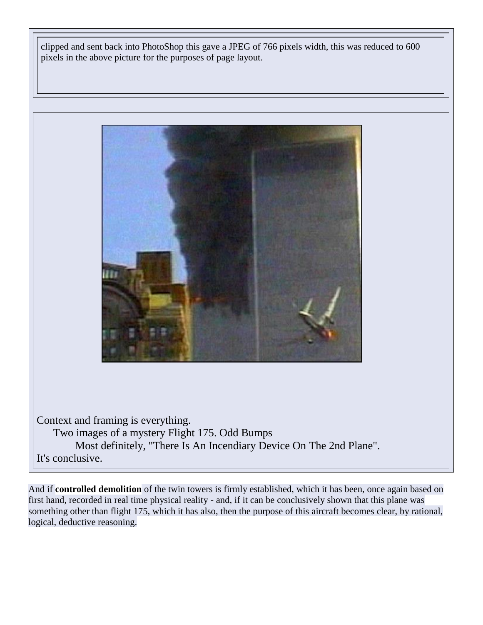clipped and sent back into PhotoShop this gave a JPEG of 766 pixels width, this was reduced to 600 pixels in the above picture for the purposes of page layout.



Context and framing is everything. Two images of a mystery Flight 175. Odd Bumps Most definitely, "There Is An Incendiary Device On The 2nd Plane". It's conclusive.

And if **controlled demolition** of the twin towers is firmly established, which it has been, once again based on first hand, recorded in real time physical reality - and, if it can be conclusively shown that this plane was something other than flight 175, which it has also, then the purpose of this aircraft becomes clear, by rational, logical, deductive reasoning.